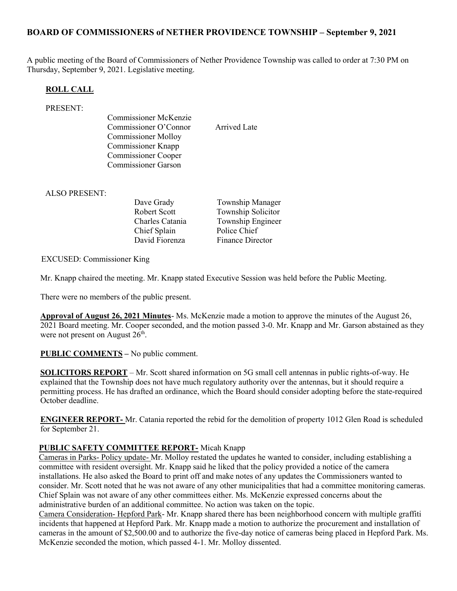## BOARD OF COMMISSIONERS of NETHER PROVIDENCE TOWNSHIP – September 9, 2021

A public meeting of the Board of Commissioners of Nether Providence Township was called to order at 7:30 PM on Thursday, September 9, 2021. Legislative meeting.

#### ROLL CALL

#### PRESENT:

Commissioner McKenzie Commissioner O'Connor Arrived Late Commissioner Molloy Commissioner Knapp Commissioner Cooper Commissioner Garson

ALSO PRESENT:

Chief Splain Police Chief

Dave Grady **Township Manager** Robert Scott Township Solicitor Charles Catania Township Engineer David Fiorenza Finance Director

EXCUSED: Commissioner King

Mr. Knapp chaired the meeting. Mr. Knapp stated Executive Session was held before the Public Meeting.

There were no members of the public present.

Approval of August 26, 2021 Minutes- Ms. McKenzie made a motion to approve the minutes of the August 26, 2021 Board meeting. Mr. Cooper seconded, and the motion passed 3-0. Mr. Knapp and Mr. Garson abstained as they were not present on August  $26<sup>th</sup>$ .

PUBLIC COMMENTS – No public comment.

SOLICITORS REPORT – Mr. Scott shared information on 5G small cell antennas in public rights-of-way. He explained that the Township does not have much regulatory authority over the antennas, but it should require a permitting process. He has drafted an ordinance, which the Board should consider adopting before the state-required October deadline.

ENGINEER REPORT- Mr. Catania reported the rebid for the demolition of property 1012 Glen Road is scheduled for September 21.

### PUBLIC SAFETY COMMITTEE REPORT- Micah Knapp

Cameras in Parks- Policy update- Mr. Molloy restated the updates he wanted to consider, including establishing a committee with resident oversight. Mr. Knapp said he liked that the policy provided a notice of the camera installations. He also asked the Board to print off and make notes of any updates the Commissioners wanted to consider. Mr. Scott noted that he was not aware of any other municipalities that had a committee monitoring cameras. Chief Splain was not aware of any other committees either. Ms. McKenzie expressed concerns about the administrative burden of an additional committee. No action was taken on the topic.

Camera Consideration- Hepford Park- Mr. Knapp shared there has been neighborhood concern with multiple graffiti incidents that happened at Hepford Park. Mr. Knapp made a motion to authorize the procurement and installation of cameras in the amount of \$2,500.00 and to authorize the five-day notice of cameras being placed in Hepford Park. Ms. McKenzie seconded the motion, which passed 4-1. Mr. Molloy dissented.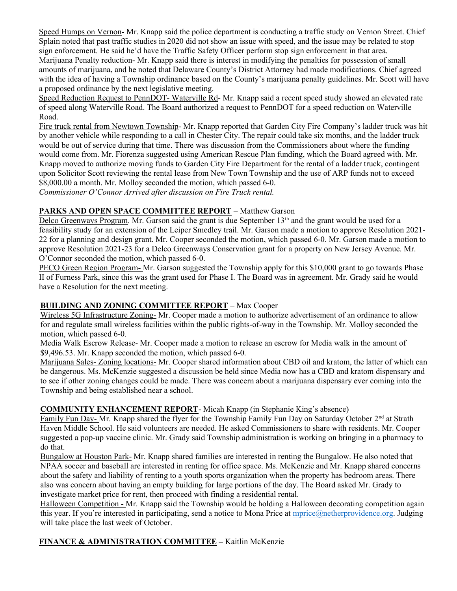Speed Humps on Vernon- Mr. Knapp said the police department is conducting a traffic study on Vernon Street. Chief Splain noted that past traffic studies in 2020 did not show an issue with speed, and the issue may be related to stop sign enforcement. He said he'd have the Traffic Safety Officer perform stop sign enforcement in that area. Marijuana Penalty reduction- Mr. Knapp said there is interest in modifying the penalties for possession of small amounts of marijuana, and he noted that Delaware County's District Attorney had made modifications. Chief agreed with the idea of having a Township ordinance based on the County's marijuana penalty guidelines. Mr. Scott will have a proposed ordinance by the next legislative meeting.

Speed Reduction Request to PennDOT- Waterville Rd- Mr. Knapp said a recent speed study showed an elevated rate of speed along Waterville Road. The Board authorized a request to PennDOT for a speed reduction on Waterville Road.

Fire truck rental from Newtown Township- Mr. Knapp reported that Garden City Fire Company's ladder truck was hit by another vehicle while responding to a call in Chester City. The repair could take six months, and the ladder truck would be out of service during that time. There was discussion from the Commissioners about where the funding would come from. Mr. Fiorenza suggested using American Rescue Plan funding, which the Board agreed with. Mr. Knapp moved to authorize moving funds to Garden City Fire Department for the rental of a ladder truck, contingent upon Solicitor Scott reviewing the rental lease from New Town Township and the use of ARP funds not to exceed \$8,000.00 a month. Mr. Molloy seconded the motion, which passed 6-0.

Commissioner O'Connor Arrived after discussion on Fire Truck rental.

# PARKS AND OPEN SPACE COMMITTEE REPORT – Matthew Garson

Delco Greenways Program. Mr. Garson said the grant is due September 13<sup>th</sup> and the grant would be used for a feasibility study for an extension of the Leiper Smedley trail. Mr. Garson made a motion to approve Resolution 2021- 22 for a planning and design grant. Mr. Cooper seconded the motion, which passed 6-0. Mr. Garson made a motion to approve Resolution 2021-23 for a Delco Greenways Conservation grant for a property on New Jersey Avenue. Mr. O'Connor seconded the motion, which passed 6-0.

PECO Green Region Program- Mr. Garson suggested the Township apply for this \$10,000 grant to go towards Phase II of Furness Park, since this was the grant used for Phase I. The Board was in agreement. Mr. Grady said he would have a Resolution for the next meeting.

### BUILDING AND ZONING COMMITTEE REPORT – Max Cooper

Wireless 5G Infrastructure Zoning- Mr. Cooper made a motion to authorize advertisement of an ordinance to allow for and regulate small wireless facilities within the public rights-of-way in the Township. Mr. Molloy seconded the motion, which passed 6-0.

Media Walk Escrow Release- Mr. Cooper made a motion to release an escrow for Media walk in the amount of \$9,496.53. Mr. Knapp seconded the motion, which passed 6-0.

Marijuana Sales- Zoning locations- Mr. Cooper shared information about CBD oil and kratom, the latter of which can be dangerous. Ms. McKenzie suggested a discussion be held since Media now has a CBD and kratom dispensary and to see if other zoning changes could be made. There was concern about a marijuana dispensary ever coming into the Township and being established near a school.

### COMMUNITY ENHANCEMENT REPORT- Micah Knapp (in Stephanie King's absence)

Family Fun Day- Mr. Knapp shared the flyer for the Township Family Fun Day on Saturday October 2<sup>nd</sup> at Strath Haven Middle School. He said volunteers are needed. He asked Commissioners to share with residents. Mr. Cooper suggested a pop-up vaccine clinic. Mr. Grady said Township administration is working on bringing in a pharmacy to do that.

Bungalow at Houston Park- Mr. Knapp shared families are interested in renting the Bungalow. He also noted that NPAA soccer and baseball are interested in renting for office space. Ms. McKenzie and Mr. Knapp shared concerns about the safety and liability of renting to a youth sports organization when the property has bedroom areas. There also was concern about having an empty building for large portions of the day. The Board asked Mr. Grady to investigate market price for rent, then proceed with finding a residential rental.

Halloween Competition - Mr. Knapp said the Township would be holding a Halloween decorating competition again this year. If you're interested in participating, send a notice to Mona Price at mprice@netherprovidence.org. Judging will take place the last week of October.

# FINANCE & ADMINISTRATION COMMITTEE - Kaitlin McKenzie